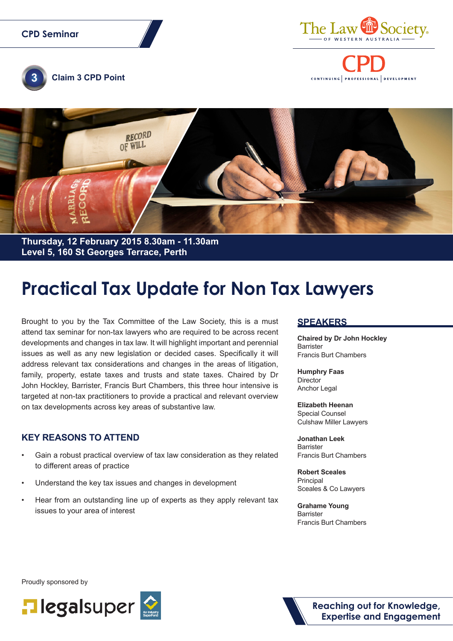#### **CPD Seminar**



CONTINUING PROFESSIONAL DEVELOPMENT





**Thursday, 12 February 2015 8.30am - 11.30am Level 5, 160 St Georges Terrace, Perth**

# **Practical Tax Update for Non Tax Lawyers**

Brought to you by the Tax Committee of the Law Society, this is a must attend tax seminar for non-tax lawyers who are required to be across recent developments and changes in tax law. It will highlight important and perennial issues as well as any new legislation or decided cases. Specifically it will address relevant tax considerations and changes in the areas of litigation, family, property, estate taxes and trusts and state taxes. Chaired by Dr John Hockley, Barrister, Francis Burt Chambers, this three hour intensive is targeted at non-tax practitioners to provide a practical and relevant overview on tax developments across key areas of substantive law.

#### **KEY REASONS TO ATTEND**

- Gain a robust practical overview of tax law consideration as they related to different areas of practice
- Understand the key tax issues and changes in development
- Hear from an outstanding line up of experts as they apply relevant tax issues to your area of interest

#### **SPEAKERS**

**Chaired by Dr John Hockley** Barrister Francis Burt Chambers

**Humphry Faas Director** Anchor Legal

**Elizabeth Heenan** Special Counsel Culshaw Miller Lawyers

**Jonathan Leek** Barrister Francis Burt Chambers

**Robert Sceales** Principal Sceales & Co Lawyers

**Grahame Young** Barrister Francis Burt Chambers

Proudly sponsored by



**Reaching out for Knowledge, Expertise and Engagement**